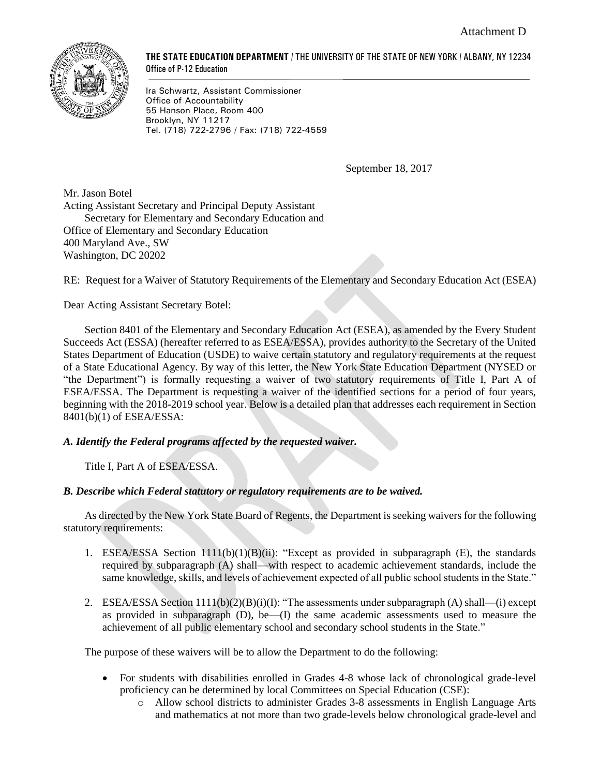

**THE STATE EDUCATION DEPARTMENT** / THE UNIVERSITY OF THE STATE OF NEW YORK / ALBANY, NY 12234 Office of P-12 Education

Ira Schwartz, Assistant Commissioner Office of Accountability 55 Hanson Place, Room 400 Brooklyn, NY 11217 Tel. (718) 722-2796 / Fax: (718) 722-4559

September 18, 2017

Mr. Jason Botel Acting Assistant Secretary and Principal Deputy Assistant Secretary for Elementary and Secondary Education and Office of Elementary and Secondary Education 400 Maryland Ave., SW Washington, DC 20202

RE: Request for a Waiver of Statutory Requirements of the Elementary and Secondary Education Act (ESEA)

Dear Acting Assistant Secretary Botel:

Section 8401 of the Elementary and Secondary Education Act (ESEA), as amended by the Every Student Succeeds Act (ESSA) (hereafter referred to as ESEA/ESSA), provides authority to the Secretary of the United States Department of Education (USDE) to waive certain statutory and regulatory requirements at the request of a State Educational Agency. By way of this letter, the New York State Education Department (NYSED or "the Department") is formally requesting a waiver of two statutory requirements of Title I, Part A of ESEA/ESSA. The Department is requesting a waiver of the identified sections for a period of four years, beginning with the 2018-2019 school year. Below is a detailed plan that addresses each requirement in Section 8401(b)(1) of ESEA/ESSA:

# *A. Identify the Federal programs affected by the requested waiver.*

Title I, Part A of ESEA/ESSA.

### *B. Describe which Federal statutory or regulatory requirements are to be waived.*

As directed by the New York State Board of Regents, the Department is seeking waivers for the following statutory requirements:

- 1. ESEA/ESSA Section  $1111(b)(1)(B)(ii)$ : "Except as provided in subparagraph (E), the standards required by subparagraph (A) shall—with respect to academic achievement standards, include the same knowledge, skills, and levels of achievement expected of all public school students in the State."
- 2. ESEA/ESSA Section  $1111(b)(2)(B)(i)(I)$ : "The assessments under subparagraph (A) shall—(i) except as provided in subparagraph (D), be—(I) the same academic assessments used to measure the achievement of all public elementary school and secondary school students in the State."

The purpose of these waivers will be to allow the Department to do the following:

- For students with disabilities enrolled in Grades 4-8 whose lack of chronological grade-level proficiency can be determined by local Committees on Special Education (CSE):
	- o Allow school districts to administer Grades 3-8 assessments in English Language Arts and mathematics at not more than two grade-levels below chronological grade-level and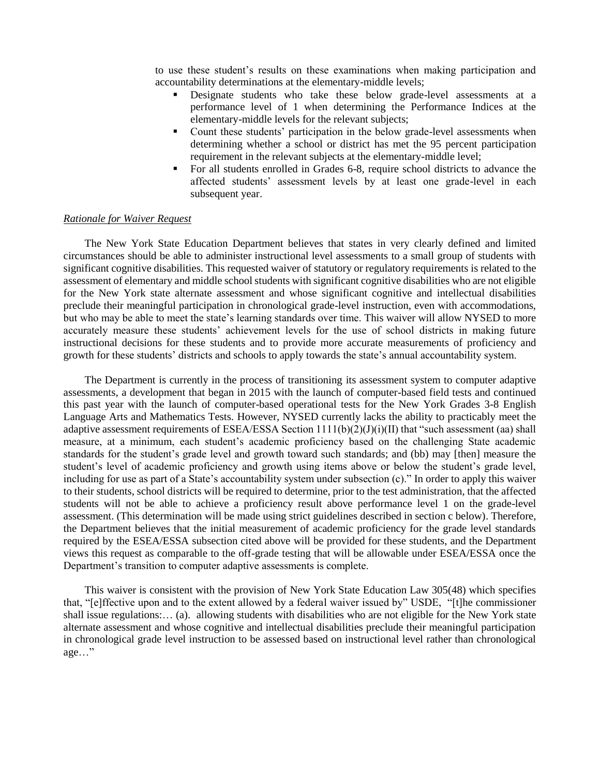to use these student's results on these examinations when making participation and accountability determinations at the elementary-middle levels;

- Designate students who take these below grade-level assessments at a performance level of 1 when determining the Performance Indices at the elementary-middle levels for the relevant subjects;
- Count these students' participation in the below grade-level assessments when determining whether a school or district has met the 95 percent participation requirement in the relevant subjects at the elementary-middle level;
- For all students enrolled in Grades 6-8, require school districts to advance the affected students' assessment levels by at least one grade-level in each subsequent year.

#### *Rationale for Waiver Request*

The New York State Education Department believes that states in very clearly defined and limited circumstances should be able to administer instructional level assessments to a small group of students with significant cognitive disabilities. This requested waiver of statutory or regulatory requirements is related to the assessment of elementary and middle school students with significant cognitive disabilities who are not eligible for the New York state alternate assessment and whose significant cognitive and intellectual disabilities preclude their meaningful participation in chronological grade-level instruction, even with accommodations, but who may be able to meet the state's learning standards over time. This waiver will allow NYSED to more accurately measure these students' achievement levels for the use of school districts in making future instructional decisions for these students and to provide more accurate measurements of proficiency and growth for these students' districts and schools to apply towards the state's annual accountability system.

The Department is currently in the process of transitioning its assessment system to computer adaptive assessments, a development that began in 2015 with the launch of computer-based field tests and continued this past year with the launch of computer-based operational tests for the New York Grades 3-8 English Language Arts and Mathematics Tests. However, NYSED currently lacks the ability to practicably meet the adaptive assessment requirements of ESEA/ESSA Section  $1111(b)(2)(J)(i)(II)$  that "such assessment (aa) shall measure, at a minimum, each student's academic proficiency based on the challenging State academic standards for the student's grade level and growth toward such standards; and (bb) may [then] measure the student's level of academic proficiency and growth using items above or below the student's grade level, including for use as part of a State's accountability system under subsection (c)." In order to apply this waiver to their students, school districts will be required to determine, prior to the test administration, that the affected students will not be able to achieve a proficiency result above performance level 1 on the grade-level assessment. (This determination will be made using strict guidelines described in section c below). Therefore, the Department believes that the initial measurement of academic proficiency for the grade level standards required by the ESEA/ESSA subsection cited above will be provided for these students, and the Department views this request as comparable to the off-grade testing that will be allowable under ESEA/ESSA once the Department's transition to computer adaptive assessments is complete.

This waiver is consistent with the provision of New York State Education Law 305(48) which specifies that, "[e]ffective upon and to the extent allowed by a federal waiver issued by" USDE, "[t]he commissioner shall issue regulations:… (a). allowing students with disabilities who are not eligible for the New York state alternate assessment and whose cognitive and intellectual disabilities preclude their meaningful participation in chronological grade level instruction to be assessed based on instructional level rather than chronological age…"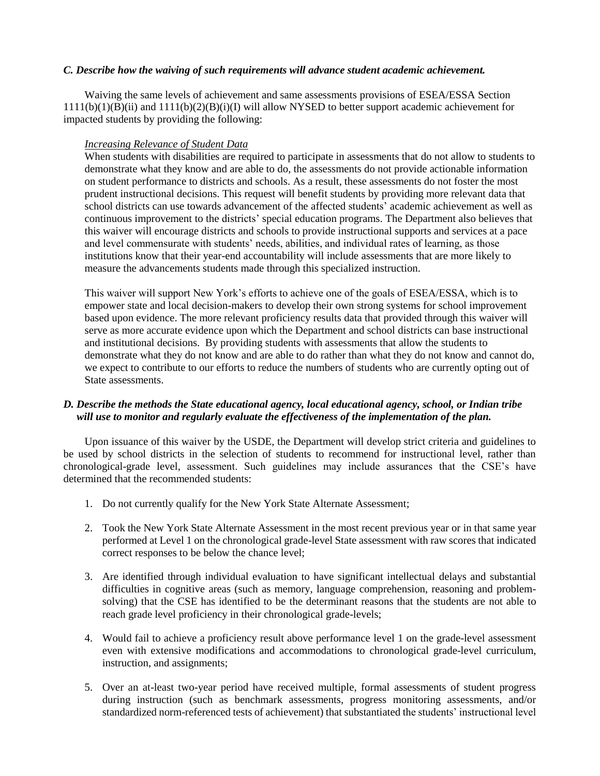### *C. Describe how the waiving of such requirements will advance student academic achievement.*

Waiving the same levels of achievement and same assessments provisions of ESEA/ESSA Section 1111(b)(1)(B)(ii) and 1111(b)(2)(B)(i)(I) will allow NYSED to better support academic achievement for impacted students by providing the following:

### *Increasing Relevance of Student Data*

When students with disabilities are required to participate in assessments that do not allow to students to demonstrate what they know and are able to do, the assessments do not provide actionable information on student performance to districts and schools. As a result, these assessments do not foster the most prudent instructional decisions. This request will benefit students by providing more relevant data that school districts can use towards advancement of the affected students' academic achievement as well as continuous improvement to the districts' special education programs. The Department also believes that this waiver will encourage districts and schools to provide instructional supports and services at a pace and level commensurate with students' needs, abilities, and individual rates of learning, as those institutions know that their year-end accountability will include assessments that are more likely to measure the advancements students made through this specialized instruction.

This waiver will support New York's efforts to achieve one of the goals of ESEA/ESSA, which is to empower state and local decision-makers to develop their own strong systems for school improvement based upon evidence. The more relevant proficiency results data that provided through this waiver will serve as more accurate evidence upon which the Department and school districts can base instructional and institutional decisions. By providing students with assessments that allow the students to demonstrate what they do not know and are able to do rather than what they do not know and cannot do, we expect to contribute to our efforts to reduce the numbers of students who are currently opting out of State assessments.

## *D. Describe the methods the State educational agency, local educational agency, school, or Indian tribe will use to monitor and regularly evaluate the effectiveness of the implementation of the plan.*

Upon issuance of this waiver by the USDE, the Department will develop strict criteria and guidelines to be used by school districts in the selection of students to recommend for instructional level, rather than chronological-grade level, assessment. Such guidelines may include assurances that the CSE's have determined that the recommended students:

- 1. Do not currently qualify for the New York State Alternate Assessment;
- 2. Took the New York State Alternate Assessment in the most recent previous year or in that same year performed at Level 1 on the chronological grade-level State assessment with raw scores that indicated correct responses to be below the chance level;
- 3. Are identified through individual evaluation to have significant intellectual delays and substantial difficulties in cognitive areas (such as memory, language comprehension, reasoning and problemsolving) that the CSE has identified to be the determinant reasons that the students are not able to reach grade level proficiency in their chronological grade-levels;
- 4. Would fail to achieve a proficiency result above performance level 1 on the grade-level assessment even with extensive modifications and accommodations to chronological grade-level curriculum, instruction, and assignments;
- 5. Over an at-least two-year period have received multiple, formal assessments of student progress during instruction (such as benchmark assessments, progress monitoring assessments, and/or standardized norm-referenced tests of achievement) that substantiated the students' instructional level